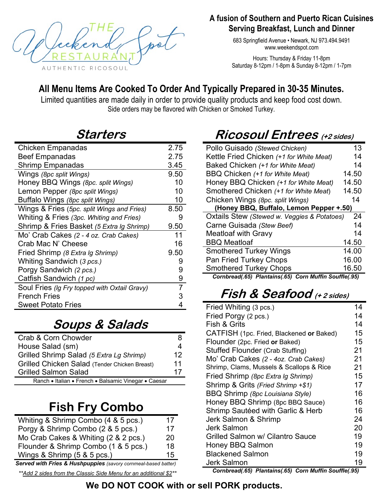

#### **A fusion of Southern and Puerto Rican Cuisines Serving Breakfast, Lunch and Dinner**

683 Springfield Avenue • Newark, NJ 973.494.9491 www.weekendspot.com

Hours: Thursday & Friday 11-8pm Saturday 8-12pm / 1-8pm & Sunday 8-12pm / 1-7pm

#### **All Menu Items Are Cooked To Order And Typically Prepared in 30-35 Minutes.**

Limited quantities are made daily in order to provide quality products and keep food cost down. Side orders may be flavored with Chicken or Smoked Turkey.

#### **Starters**

| Chicken Empanadas                            | 2.75           |
|----------------------------------------------|----------------|
| <b>Beef Empanadas</b>                        | 2.75           |
| Shrimp Empanadas                             | 3.45           |
| Wings (8pc split Wings)                      | 9.50           |
| Honey BBQ Wings (8pc. split Wings)           | 10             |
| Lemon Pepper (8pc split Wings)               | 10             |
| Buffalo Wings (8pc split Wings)              | 10             |
| Wings & Fries (5pc. split Wings and Fries)   | 8.50           |
| Whiting & Fries (3pc. Whiting and Fries)     | 9              |
| Shrimp & Fries Basket (5 Extra Ig Shrimp)    | 9.50           |
| Mo' Crab Cakes (2 - 4 oz. Crab Cakes)        | 11             |
| Crab Mac N' Cheese                           | 16             |
| Fried Shrimp (8 Extra Ig Shrimp)             | 9.50           |
| Whiting Sandwich (3 pcs.)                    | 9              |
| Porgy Sandwich (2 pcs.)                      | 9              |
| Catfish Sandwich (1 pc)                      | 9              |
| Soul Fries (Ig Fry topped with Oxtail Gravy) | $\overline{7}$ |
| <b>French Fries</b>                          | 3              |
| <b>Sweet Potato Fries</b>                    | 4              |

## **Soups & Salads**

| Crab & Corn Chowder                                  |    |
|------------------------------------------------------|----|
| House Salad (sm)                                     |    |
| Grilled Shrimp Salad (5 Extra Lg Shrimp)             | 12 |
| Grilled Chicken Salad (Tender Chicken Breast)        | 11 |
| <b>Grilled Salmon Salad</b>                          | 17 |
| Ranch • Italian • French • Balsamic Vinegar • Caesar |    |

## **Fish Fry Combo**

| Whiting & Shrimp Combo (4 & 5 pcs.)                            | 17 |
|----------------------------------------------------------------|----|
| Porgy & Shrimp Combo (2 & 5 pcs.)                              | 17 |
| Mo Crab Cakes & Whiting (2 & 2 pcs.)                           | 20 |
| Flounder & Shrimp Combo (1 & 5 pcs.)                           | 18 |
| Wings & Shrimp (5 & 5 pcs.)                                    | 15 |
| Served with Fries & Hushnunnies (savery cernmeal based batter) |    |

 *Served with Fries & Hushpuppies (savory cornmeal-based batter)* 

*\*\*Add 2 sides from the Classic Side Menu for an additional \$2\*\** 

# **Ricosoul Entrees (+2 sides)**

| Pollo Guisado (Stewed Chicken)              | 13    |
|---------------------------------------------|-------|
| Kettle Fried Chicken (+1 for White Meat)    | 14    |
| Baked Chicken (+1 for White Meat)           | 14    |
| BBQ Chicken (+1 for White Meat)             | 14.50 |
| Honey BBQ Chicken (+1 for White Meat)       | 14.50 |
| Smothered Chicken (+1 for White Meat)       | 14.50 |
| Chicken Wings (8pc. split Wings)            | 14    |
| (Honey BBQ, Buffalo, Lemon Pepper +.50)     |       |
| Oxtails Stew (Stewed w. Veggies & Potatoes) | 24    |
| Carne Guisada (Stew Beef)                   | 14    |
| <b>Meatloaf with Gravy</b>                  | 14    |
|                                             |       |
| <b>BBQ Meatloaf</b>                         | 14.50 |
| <b>Smothered Turkey Wings</b>               | 14.00 |
| <b>Pan Fried Turkey Chops</b>               | 16.00 |
| <b>Smothered Turkey Chops</b>               | 16.50 |

## **Fish & Seafood (+ 2 sides)**

| Fried Whiting (3 pcs.)                   | 14 |
|------------------------------------------|----|
| Fried Porgy (2 pcs.)                     | 14 |
| Fish & Grits                             | 14 |
| CATFISH (1pc. Fried, Blackened or Baked) | 15 |
| Flounder (2pc. Fried or Baked)           | 15 |
| Stuffed Flounder (Crab Stuffing)         | 21 |
| Mo' Crab Cakes (2 - 4oz. Crab Cakes)     | 21 |
| Shrimp, Clams, Mussels & Scallops & Rice | 21 |
| Fried Shrimp (8pc Extra Ig Shrimp)       | 15 |
| Shrimp & Grits (Fried Shrimp +\$1)       | 17 |
| BBQ Shrimp (8pc Louisiana Style)         | 16 |
| Honey BBQ Shrimp (8pc BBQ Sauce)         | 16 |
| Shrimp Sautéed with Garlic & Herb        | 16 |
| Jerk Salmon & Shrimp                     | 24 |
| Jerk Salmon                              | 20 |
| Grilled Salmon w/ Cilantro Sauce         | 19 |
| <b>Honey BBQ Salmon</b>                  | 19 |
| <b>Blackened Salmon</b>                  | 19 |
| <b>Jerk Salmon</b>                       | 19 |

*Cornbread(.65) Plantains(.65) Corn Muffin Souffle(.95)*

#### **We DO NOT COOK with or sell PORK products.**